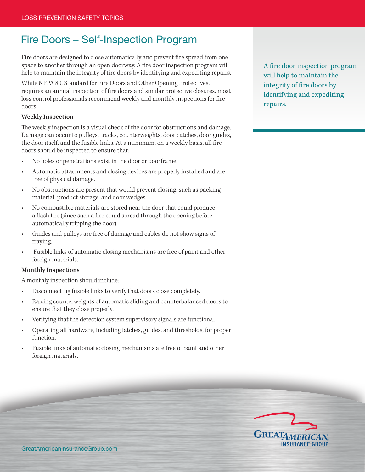## Fire Doors – Self-Inspection Program

Fire doors are designed to close automatically and prevent fire spread from one space to another through an open doorway. A fire door inspection program will help to maintain the integrity of fire doors by identifying and expediting repairs.

While NFPA 80, Standard for Fire Doors and Other Opening Protectives, requires an annual inspection of fire doors and similar protective closures, most loss control professionals recommend weekly and monthly inspections for fire doors.

## **Weekly Inspection**

The weekly inspection is a visual check of the door for obstructions and damage. Damage can occur to pulleys, tracks, counterweights, door catches, door guides, the door itself, and the fusible links. At a minimum, on a weekly basis, all fire doors should be inspected to ensure that:

- No holes or penetrations exist in the door or doorframe.
- Automatic attachments and closing devices are properly installed and are free of physical damage.
- No obstructions are present that would prevent closing, such as packing material, product storage, and door wedges.
- No combustible materials are stored near the door that could produce a flash fire (since such a fire could spread through the opening before automatically tripping the door).
- Guides and pulleys are free of damage and cables do not show signs of fraying.
- Fusible links of automatic closing mechanisms are free of paint and other foreign materials.

## **Monthly Inspections**

A monthly inspection should include:

- Disconnecting fusible links to verify that doors close completely.
- Raising counterweights of automatic sliding and counterbalanced doors to ensure that they close properly.
- Verifying that the detection system supervisory signals are functional
- Operating all hardware, including latches, guides, and thresholds, for proper function.
- Fusible links of automatic closing mechanisms are free of paint and other foreign materials.

A fire door inspection program will help to maintain the integrity of fire doors by identifying and expediting repairs.